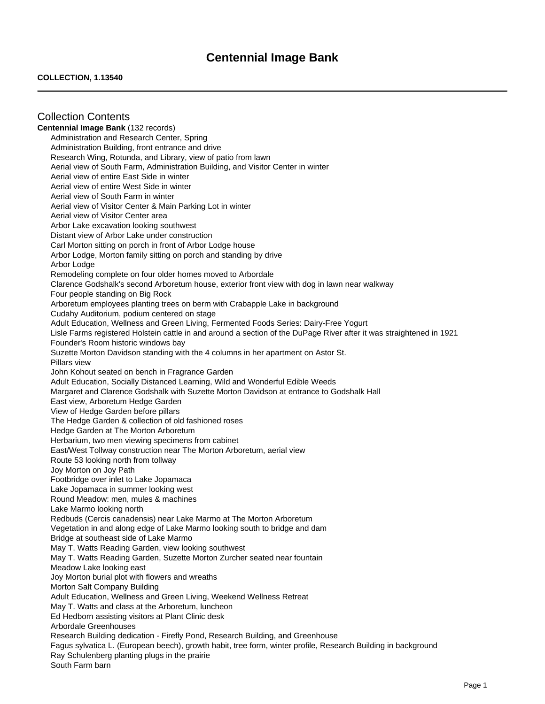# **Centennial Image Bank**

### **COLLECTION, 1.13540**

Collection Contents **Centennial Image Bank** (132 records) Administration and Research Center, Spring Administration Building, front entrance and drive Research Wing, Rotunda, and Library, view of patio from lawn Aerial view of South Farm, Administration Building, and Visitor Center in winter Aerial view of entire East Side in winter Aerial view of entire West Side in winter Aerial view of South Farm in winter Aerial view of Visitor Center & Main Parking Lot in winter Aerial view of Visitor Center area Arbor Lake excavation looking southwest Distant view of Arbor Lake under construction Carl Morton sitting on porch in front of Arbor Lodge house Arbor Lodge, Morton family sitting on porch and standing by drive Arbor Lodge Remodeling complete on four older homes moved to Arbordale Clarence Godshalk's second Arboretum house, exterior front view with dog in lawn near walkway Four people standing on Big Rock Arboretum employees planting trees on berm with Crabapple Lake in background Cudahy Auditorium, podium centered on stage Adult Education, Wellness and Green Living, Fermented Foods Series: Dairy-Free Yogurt Lisle Farms registered Holstein cattle in and around a section of the DuPage River after it was straightened in 1921 Founder's Room historic windows bay Suzette Morton Davidson standing with the 4 columns in her apartment on Astor St. Pillars view John Kohout seated on bench in Fragrance Garden Adult Education, Socially Distanced Learning, Wild and Wonderful Edible Weeds Margaret and Clarence Godshalk with Suzette Morton Davidson at entrance to Godshalk Hall East view, Arboretum Hedge Garden View of Hedge Garden before pillars The Hedge Garden & collection of old fashioned roses Hedge Garden at The Morton Arboretum Herbarium, two men viewing specimens from cabinet East/West Tollway construction near The Morton Arboretum, aerial view Route 53 looking north from tollway Joy Morton on Joy Path Footbridge over inlet to Lake Jopamaca Lake Jopamaca in summer looking west Round Meadow: men, mules & machines Lake Marmo looking north Redbuds (Cercis canadensis) near Lake Marmo at The Morton Arboretum Vegetation in and along edge of Lake Marmo looking south to bridge and dam Bridge at southeast side of Lake Marmo May T. Watts Reading Garden, view looking southwest May T. Watts Reading Garden, Suzette Morton Zurcher seated near fountain Meadow Lake looking east Joy Morton burial plot with flowers and wreaths Morton Salt Company Building Adult Education, Wellness and Green Living, Weekend Wellness Retreat May T. Watts and class at the Arboretum, luncheon Ed Hedborn assisting visitors at Plant Clinic desk Arbordale Greenhouses Research Building dedication - Firefly Pond, Research Building, and Greenhouse Fagus sylvatica L. (European beech), growth habit, tree form, winter profile, Research Building in background Ray Schulenberg planting plugs in the prairie South Farm barn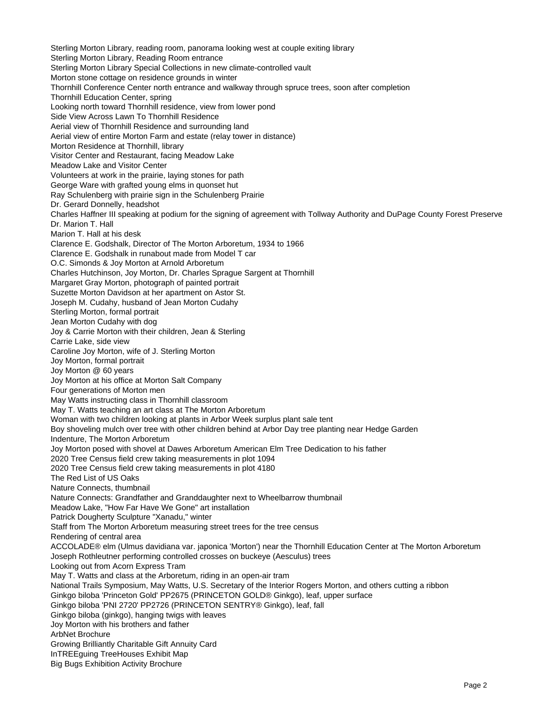Sterling Morton Library, reading room, panorama looking west at couple exiting library Sterling Morton Library, Reading Room entrance Sterling Morton Library Special Collections in new climate-controlled vault Morton stone cottage on residence grounds in winter Thornhill Conference Center north entrance and walkway through spruce trees, soon after completion Thornhill Education Center, spring Looking north toward Thornhill residence, view from lower pond Side View Across Lawn To Thornhill Residence Aerial view of Thornhill Residence and surrounding land Aerial view of entire Morton Farm and estate (relay tower in distance) Morton Residence at Thornhill, library Visitor Center and Restaurant, facing Meadow Lake Meadow Lake and Visitor Center Volunteers at work in the prairie, laying stones for path George Ware with grafted young elms in quonset hut Ray Schulenberg with prairie sign in the Schulenberg Prairie Dr. Gerard Donnelly, headshot Charles Haffner III speaking at podium for the signing of agreement with Tollway Authority and DuPage County Forest Preserve Dr. Marion T. Hall Marion T. Hall at his desk Clarence E. Godshalk, Director of The Morton Arboretum, 1934 to 1966 Clarence E. Godshalk in runabout made from Model T car O.C. Simonds & Joy Morton at Arnold Arboretum Charles Hutchinson, Joy Morton, Dr. Charles Sprague Sargent at Thornhill Margaret Gray Morton, photograph of painted portrait Suzette Morton Davidson at her apartment on Astor St. Joseph M. Cudahy, husband of Jean Morton Cudahy Sterling Morton, formal portrait Jean Morton Cudahy with dog Joy & Carrie Morton with their children, Jean & Sterling Carrie Lake, side view Caroline Joy Morton, wife of J. Sterling Morton Joy Morton, formal portrait Joy Morton @ 60 years Joy Morton at his office at Morton Salt Company Four generations of Morton men May Watts instructing class in Thornhill classroom May T. Watts teaching an art class at The Morton Arboretum Woman with two children looking at plants in Arbor Week surplus plant sale tent Boy shoveling mulch over tree with other children behind at Arbor Day tree planting near Hedge Garden Indenture, The Morton Arboretum Joy Morton posed with shovel at Dawes Arboretum American Elm Tree Dedication to his father 2020 Tree Census field crew taking measurements in plot 1094 2020 Tree Census field crew taking measurements in plot 4180 The Red List of US Oaks Nature Connects, thumbnail Nature Connects: Grandfather and Granddaughter next to Wheelbarrow thumbnail Meadow Lake, "How Far Have We Gone" art installation Patrick Dougherty Sculpture "Xanadu," winter Staff from The Morton Arboretum measuring street trees for the tree census Rendering of central area ACCOLADE® elm (Ulmus davidiana var. japonica 'Morton') near the Thornhill Education Center at The Morton Arboretum Joseph Rothleutner performing controlled crosses on buckeye (Aesculus) trees Looking out from Acorn Express Tram May T. Watts and class at the Arboretum, riding in an open-air tram National Trails Symposium, May Watts, U.S. Secretary of the Interior Rogers Morton, and others cutting a ribbon Ginkgo biloba 'Princeton Gold' PP2675 (PRINCETON GOLD® Ginkgo), leaf, upper surface Ginkgo biloba 'PNI 2720' PP2726 (PRINCETON SENTRY® Ginkgo), leaf, fall Ginkgo biloba (ginkgo), hanging twigs with leaves Joy Morton with his brothers and father ArbNet Brochure Growing Brilliantly Charitable Gift Annuity Card InTREEguing TreeHouses Exhibit Map Big Bugs Exhibition Activity Brochure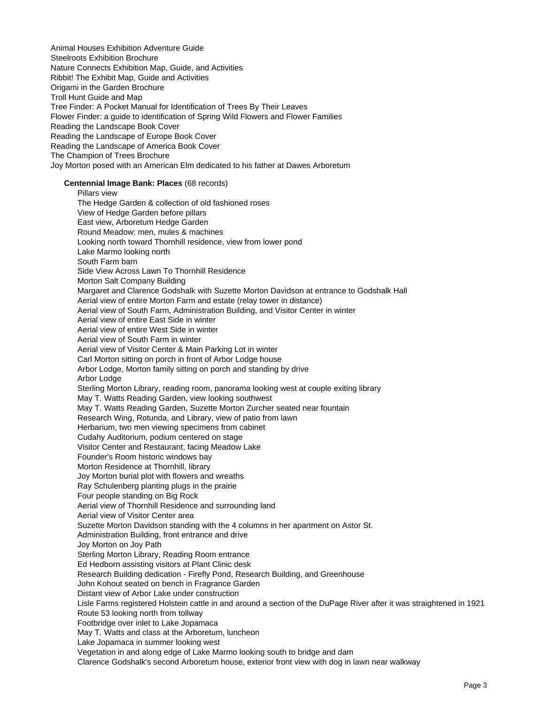Animal Houses Exhibition Adventure Guide Steelroots Exhibition Brochure Nature Connects Exhibition Map, Guide, and Activities Ribbit! The Exhibit Map, Guide and Activities Origami in the Garden Brochure Troll Hunt Guide and Map Tree Finder: A Pocket Manual for Identification of Trees By Their Leaves Flower Finder: a guide to identification of Spring Wild Flowers and Flower Families Reading the Landscape Book Cover Reading the Landscape of Europe Book Cover Reading the Landscape of America Book Cover The Champion of Trees Brochure Joy Morton posed with an American Elm dedicated to his father at Dawes Arboretum

#### **Centennial Image Bank: Places** (68 records)

Pillars view The Hedge Garden & collection of old fashioned roses View of Hedge Garden before pillars East view, Arboretum Hedge Garden Round Meadow: men, mules & machines Looking north toward Thornhill residence, view from lower pond Lake Marmo looking north South Farm barn Side View Across Lawn To Thornhill Residence Morton Salt Company Building Margaret and Clarence Godshalk with Suzette Morton Davidson at entrance to Godshalk Hall Aerial view of entire Morton Farm and estate (relay tower in distance) Aerial view of South Farm, Administration Building, and Visitor Center in winter Aerial view of entire East Side in winter Aerial view of entire West Side in winter Aerial view of South Farm in winter Aerial view of Visitor Center & Main Parking Lot in winter Carl Morton sitting on porch in front of Arbor Lodge house Arbor Lodge, Morton family sitting on porch and standing by drive Arbor Lodge Sterling Morton Library, reading room, panorama looking west at couple exiting library May T. Watts Reading Garden, view looking southwest May T. Watts Reading Garden, Suzette Morton Zurcher seated near fountain Research Wing, Rotunda, and Library, view of patio from lawn Herbarium, two men viewing specimens from cabinet Cudahy Auditorium, podium centered on stage Visitor Center and Restaurant, facing Meadow Lake Founder's Room historic windows bay Morton Residence at Thornhill, library Joy Morton burial plot with flowers and wreaths Ray Schulenberg planting plugs in the prairie Four people standing on Big Rock Aerial view of Thornhill Residence and surrounding land Aerial view of Visitor Center area Suzette Morton Davidson standing with the 4 columns in her apartment on Astor St. Administration Building, front entrance and drive Joy Morton on Joy Path Sterling Morton Library, Reading Room entrance Ed Hedborn assisting visitors at Plant Clinic desk Research Building dedication - Firefly Pond, Research Building, and Greenhouse John Kohout seated on bench in Fragrance Garden Distant view of Arbor Lake under construction Lisle Farms registered Holstein cattle in and around a section of the DuPage River after it was straightened in 1921 Route 53 looking north from tollway Footbridge over inlet to Lake Jopamaca May T. Watts and class at the Arboretum, luncheon Lake Jopamaca in summer looking west Vegetation in and along edge of Lake Marmo looking south to bridge and dam Clarence Godshalk's second Arboretum house, exterior front view with dog in lawn near walkway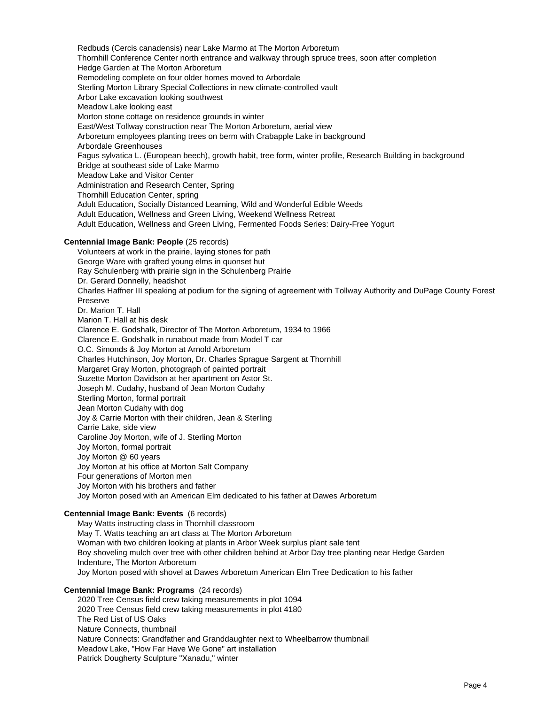Redbuds (Cercis canadensis) near Lake Marmo at The Morton Arboretum Thornhill Conference Center north entrance and walkway through spruce trees, soon after completion Hedge Garden at The Morton Arboretum Remodeling complete on four older homes moved to Arbordale Sterling Morton Library Special Collections in new climate-controlled vault Arbor Lake excavation looking southwest Meadow Lake looking east Morton stone cottage on residence grounds in winter East/West Tollway construction near The Morton Arboretum, aerial view Arboretum employees planting trees on berm with Crabapple Lake in background Arbordale Greenhouses Fagus sylvatica L. (European beech), growth habit, tree form, winter profile, Research Building in background Bridge at southeast side of Lake Marmo Meadow Lake and Visitor Center Administration and Research Center, Spring Thornhill Education Center, spring Adult Education, Socially Distanced Learning, Wild and Wonderful Edible Weeds Adult Education, Wellness and Green Living, Weekend Wellness Retreat Adult Education, Wellness and Green Living, Fermented Foods Series: Dairy-Free Yogurt

### **Centennial Image Bank: People** (25 records)

Volunteers at work in the prairie, laying stones for path George Ware with grafted young elms in quonset hut Ray Schulenberg with prairie sign in the Schulenberg Prairie Dr. Gerard Donnelly, headshot Charles Haffner III speaking at podium for the signing of agreement with Tollway Authority and DuPage County Forest Preserve Dr. Marion T. Hall Marion T. Hall at his desk Clarence E. Godshalk, Director of The Morton Arboretum, 1934 to 1966 Clarence E. Godshalk in runabout made from Model T car O.C. Simonds & Joy Morton at Arnold Arboretum Charles Hutchinson, Joy Morton, Dr. Charles Sprague Sargent at Thornhill Margaret Gray Morton, photograph of painted portrait Suzette Morton Davidson at her apartment on Astor St. Joseph M. Cudahy, husband of Jean Morton Cudahy Sterling Morton, formal portrait Jean Morton Cudahy with dog Joy & Carrie Morton with their children, Jean & Sterling Carrie Lake, side view Caroline Joy Morton, wife of J. Sterling Morton Joy Morton, formal portrait Joy Morton @ 60 years Joy Morton at his office at Morton Salt Company Four generations of Morton men Joy Morton with his brothers and father Joy Morton posed with an American Elm dedicated to his father at Dawes Arboretum

# **Centennial Image Bank: Events** (6 records)

May Watts instructing class in Thornhill classroom May T. Watts teaching an art class at The Morton Arboretum Woman with two children looking at plants in Arbor Week surplus plant sale tent Boy shoveling mulch over tree with other children behind at Arbor Day tree planting near Hedge Garden Indenture, The Morton Arboretum Joy Morton posed with shovel at Dawes Arboretum American Elm Tree Dedication to his father

# **Centennial Image Bank: Programs** (24 records)

2020 Tree Census field crew taking measurements in plot 1094 2020 Tree Census field crew taking measurements in plot 4180 The Red List of US Oaks Nature Connects, thumbnail Nature Connects: Grandfather and Granddaughter next to Wheelbarrow thumbnail Meadow Lake, "How Far Have We Gone" art installation Patrick Dougherty Sculpture "Xanadu," winter